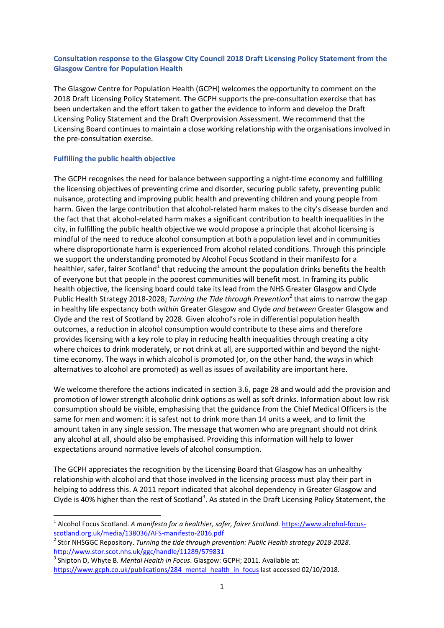## **Consultation response to the Glasgow City Council 2018 Draft Licensing Policy Statement from the Glasgow Centre for Population Health**

The Glasgow Centre for Population Health (GCPH) welcomes the opportunity to comment on the 2018 Draft Licensing Policy Statement. The GCPH supports the pre-consultation exercise that has been undertaken and the effort taken to gather the evidence to inform and develop the Draft Licensing Policy Statement and the Draft Overprovision Assessment. We recommend that the Licensing Board continues to maintain a close working relationship with the organisations involved in the pre-consultation exercise.

## **Fulfilling the public health objective**

The GCPH recognises the need for balance between supporting a night-time economy and fulfilling the licensing objectives of preventing crime and disorder, securing public safety, preventing public nuisance, protecting and improving public health and preventing children and young people from harm. Given the large contribution that alcohol-related harm makes to the city's disease burden and the fact that that alcohol-related harm makes a significant contribution to health inequalities in the city, in fulfilling the public health objective we would propose a principle that alcohol licensing is mindful of the need to reduce alcohol consumption at both a population level and in communities where disproportionate harm is experienced from alcohol related conditions. Through this principle we support the understanding promoted by Alcohol Focus Scotland in their manifesto for a healthier, safer, fairer Scotland<sup>[1](#page-0-0)</sup> that reducing the amount the population drinks benefits the health of everyone but that people in the poorest communities will benefit most. In framing its public health objective, the licensing board could take its lead from the NHS Greater Glasgow and Clyde Public Health Strategy 2018-2028; *Turning the Tide through Prevention[2](#page-0-1)* that aims to narrow the gap in healthy life expectancy both *within* Greater Glasgow and Clyde *and between* Greater Glasgow and Clyde and the rest of Scotland by 2028. Given alcohol's role in differential population health outcomes, a reduction in alcohol consumption would contribute to these aims and therefore provides licensing with a key role to play in reducing health inequalities through creating a city where choices to drink moderately, or not drink at all, are supported within and beyond the nighttime economy. The ways in which alcohol is promoted (or, on the other hand, the ways in which alternatives to alcohol are promoted) as well as issues of availability are important here.

We welcome therefore the actions indicated in section 3.6, page 28 and would add the provision and promotion of lower strength alcoholic drink options as well as soft drinks. Information about low risk consumption should be visible, emphasising that the guidance from the Chief Medical Officers is the same for men and women: it is safest not to drink more than 14 units a week, and to limit the amount taken in any single session. The message that women who are pregnant should not drink any alcohol at all, should also be emphasised. Providing this information will help to lower expectations around normative levels of alcohol consumption.

The GCPH appreciates the recognition by the Licensing Board that Glasgow has an unhealthy relationship with alcohol and that those involved in the licensing process must play their part in helping to address this. A 2011 report indicated that alcohol dependency in Greater Glasgow and Clyde is 40% higher than the rest of Scotland<sup>[3](#page-0-2)</sup>. As stated in the Draft Licensing Policy Statement, the

<span id="page-0-0"></span><sup>&</sup>lt;sup>1</sup> Alcohol Focus Scotland. *A manifesto for a healthier, safer, fairer Scotland.* https://www.alcohol-focus-<br>scotland.org.uk/media/138036/AFS-manifesto-2016.pdf

<span id="page-0-1"></span><sup>&</sup>lt;sup>2</sup> Stòr NHSGGC Repository. Turning the tide through prevention: Public Health strategy 2018-2028. <http://www.stor.scot.nhs.uk/ggc/handle/11289/579831>

<span id="page-0-2"></span><sup>3</sup> Shipton D, Whyte B. *Mental Health in Focus*. Glasgow: GCPH; 2011. Available at: [https://www.gcph.co.uk/publications/284\\_mental\\_health\\_in\\_focus](https://www.gcph.co.uk/publications/284_mental_health_in_focus) last accessed 02/10/2018.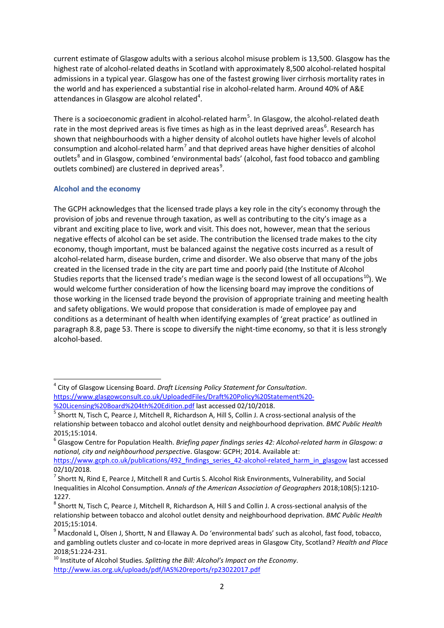current estimate of Glasgow adults with a serious alcohol misuse problem is 13,500. Glasgow has the highest rate of alcohol-related deaths in Scotland with approximately 8,500 alcohol-related hospital admissions in a typical year. Glasgow has one of the fastest growing liver cirrhosis mortality rates in the world and has experienced a substantial rise in alcohol-related harm. Around 40% of A&E attendances in Glasgow are alcohol related $4$ .

There is a socioeconomic gradient in alcohol-related harm<sup>[5](#page-1-1)</sup>. In Glasgow, the alcohol-related death rate in the most deprived areas is five times as high as in the least deprived areas<sup>[6](#page-1-2)</sup>. Research has shown that neighbourhoods with a higher density of alcohol outlets have higher levels of alcohol consumption and alcohol-related harm<sup>[7](#page-1-3)</sup> and that deprived areas have higher densities of alcohol outlets<sup>[8](#page-1-4)</sup> and in Glasgow, combined 'environmental bads' (alcohol, fast food tobacco and gambling outlets combined) are clustered in deprived areas<sup>[9](#page-1-5)</sup>.

# **Alcohol and the economy**

The GCPH acknowledges that the licensed trade plays a key role in the city's economy through the provision of jobs and revenue through taxation, as well as contributing to the city's image as a vibrant and exciting place to live, work and visit. This does not, however, mean that the serious negative effects of alcohol can be set aside. The contribution the licensed trade makes to the city economy, though important, must be balanced against the negative costs incurred as a result of alcohol-related harm, disease burden, crime and disorder. We also observe that many of the jobs created in the licensed trade in the city are part time and poorly paid (the Institute of Alcohol Studies reports that the licensed trade's median wage is the second lowest of all occupations<sup>10</sup>). We would welcome further consideration of how the licensing board may improve the conditions of those working in the licensed trade beyond the provision of appropriate training and meeting health and safety obligations. We would propose that consideration is made of employee pay and conditions as a determinant of health when identifying examples of 'great practice' as outlined in paragraph 8.8, page 53. There is scope to diversify the night-time economy, so that it is less strongly alcohol-based.

<span id="page-1-0"></span> <sup>4</sup> City of Glasgow Licensing Board. *Draft Licensing Policy Statement for Consultation*. [https://www.glasgowconsult.co.uk/UploadedFiles/Draft%20Policy%20Statement%20-](https://www.glasgowconsult.co.uk/UploadedFiles/Draft%20Policy%20Statement%20-%20Licensing%20Board%204th%20Edition.pdf)<br>%20Licensing%20Board%204th%20Edition.pdf last accessed 02/10/2018.

<span id="page-1-1"></span>[<sup>%20</sup>Licensing%20Board%204th%20Edition.pdf](https://www.glasgowconsult.co.uk/UploadedFiles/Draft%20Policy%20Statement%20-%20Licensing%20Board%204th%20Edition.pdf) last accessed 02/10/2018. <sup>5</sup> Shortt N, Tisch C, Pearce J, Mitchell R, Richardson A, Hill S, Collin J. A cross-sectional analysis of the relationship between tobacco and alcohol outlet density and neighbourhood deprivation. *BMC Public Health*

<span id="page-1-2"></span><sup>2015;15:1014.&</sup>lt;br><sup>6</sup> Glasgow Centre for Population Health. *Briefing paper findings series 42: Alcohol-related harm in Glasgow: a national, city and neighbourhood perspectiv*e. Glasgow: GCPH; 2014. Available at:

[https://www.gcph.co.uk/publications/492\\_findings\\_series\\_42-alcohol-related\\_harm\\_in\\_glasgow](https://www.gcph.co.uk/publications/492_findings_series_42-alcohol-related_harm_in_glasgow) last accessed 02/10/2018.

<span id="page-1-3"></span> $^7$  Shortt N, Rind E, Pearce J, Mitchell R and Curtis S, Alcohol Risk Environments, Vulnerability, and Social Inequalities in Alcohol Consumption. *Annals of the American Association of Geographers* 2018;108(5):1210- 1227.

<span id="page-1-4"></span><sup>&</sup>lt;sup>8</sup> Shortt N, Tisch C, Pearce J, Mitchell R, Richardson A, Hill S and Collin J. A cross-sectional analysis of the relationship between tobacco and alcohol outlet density and neighbourhood deprivation. *BMC Public Health*

<span id="page-1-5"></span><sup>2015;15:1014.&</sup>lt;br><sup>9</sup> Macdonald L, Olsen J, Shortt, N and Ellaway A. Do 'environmental bads' such as alcohol, fast food, tobacco, and gambling outlets cluster and co-locate in more deprived areas in Glasgow City, Scotland? *Health and Place*

<span id="page-1-6"></span><sup>2018;51:224-231.</sup> <sup>10</sup> Institute of Alcohol Studies. *Splitting the Bill: Alcohol's Impact on the Economy*. <http://www.ias.org.uk/uploads/pdf/IAS%20reports/rp23022017.pdf>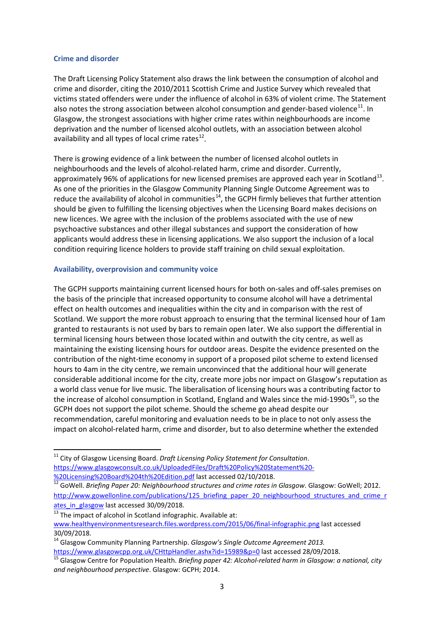#### **Crime and disorder**

The Draft Licensing Policy Statement also draws the link between the consumption of alcohol and crime and disorder, citing the 2010/2011 Scottish Crime and Justice Survey which revealed that victims stated offenders were under the influence of alcohol in 63% of violent crime. The Statement also notes the strong association between alcohol consumption and gender-based violence $^{11}$ . In Glasgow, the strongest associations with higher crime rates within neighbourhoods are income deprivation and the number of licensed alcohol outlets, with an association between alcohol availability and all types of local crime rates $^{12}$ .

There is growing evidence of a link between the number of licensed alcohol outlets in neighbourhoods and the levels of alcohol-related harm, crime and disorder. Currently, approximately 96% of applications for new licensed premises are approved each year in Scotland<sup>[13](#page-2-2)</sup>. As one of the priorities in the Glasgow Community Planning Single Outcome Agreement was to reduce the availability of alcohol in communities<sup>[14](#page-2-3)</sup>, the GCPH firmly believes that further attention should be given to fulfilling the licensing objectives when the Licensing Board makes decisions on new licences. We agree with the inclusion of the problems associated with the use of new psychoactive substances and other illegal substances and support the consideration of how applicants would address these in licensing applications. We also support the inclusion of a local condition requiring licence holders to provide staff training on child sexual exploitation.

## **Availability, overprovision and community voice**

The GCPH supports maintaining current licensed hours for both on-sales and off-sales premises on the basis of the principle that increased opportunity to consume alcohol will have a detrimental effect on health outcomes and inequalities within the city and in comparison with the rest of Scotland. We support the more robust approach to ensuring that the terminal licensed hour of 1am granted to restaurants is not used by bars to remain open later. We also support the differential in terminal licensing hours between those located within and outwith the city centre, as well as maintaining the existing licensing hours for outdoor areas. Despite the evidence presented on the contribution of the night-time economy in support of a proposed pilot scheme to extend licensed hours to 4am in the city centre, we remain unconvinced that the additional hour will generate considerable additional income for the city, create more jobs nor impact on Glasgow's reputation as a world class venue for live music. The liberalisation of licensing hours was a contributing factor to the increase of alcohol consumption in Scotland, England and Wales since the mid-1990s<sup>15</sup>, so the GCPH does not support the pilot scheme. Should the scheme go ahead despite our recommendation, careful monitoring and evaluation needs to be in place to not only assess the impact on alcohol-related harm, crime and disorder, but to also determine whether the extended

<span id="page-2-0"></span> <sup>11</sup> City of Glasgow Licensing Board. *Draft Licensing Policy Statement for Consultation*. [https://www.glasgowconsult.co.uk/UploadedFiles/Draft%20Policy%20Statement%20-](https://www.glasgowconsult.co.uk/UploadedFiles/Draft%20Policy%20Statement%20-%20Licensing%20Board%204th%20Edition.pdf)

<span id="page-2-1"></span>[<sup>%20</sup>Licensing%20Board%204th%20Edition.pdf](https://www.glasgowconsult.co.uk/UploadedFiles/Draft%20Policy%20Statement%20-%20Licensing%20Board%204th%20Edition.pdf) last accessed 02/10/2018. <sup>12</sup> GoWell. *Briefing Paper 20: Neighbourhood structures and crime rates in Glasgow*. Glasgow: GoWell; 2012. http://www.gowellonline.com/publications/125 briefing paper 20 neighbourhood structures and crime r ates in glasgow last accessed 30/09/2018.

<span id="page-2-2"></span> $13$  The impact of alcohol in Scotland infographic. Available at: [www.healthyenvironmentsresearch.files.wordpress.com/2015/06/final-infographic.png](http://www.healthyenvironmentsresearch.files.wordpress.com/2015/06/final-infographic.png) last accessed 30/09/2018.

<span id="page-2-3"></span><sup>14</sup> Glasgow Community Planning Partnership. *Glasgow's Single Outcome Agreement 2013.* 

<span id="page-2-4"></span><https://www.glasgowcpp.org.uk/CHttpHandler.ashx?id=15989&p=0> last accessed 28/09/2018.<br><sup>15</sup> Glasgow Centre for Population Health. *Briefing paper 42: Alcohol-related harm in Glasgow: a national, city and neighbourhood perspective*. Glasgow: GCPH; 2014.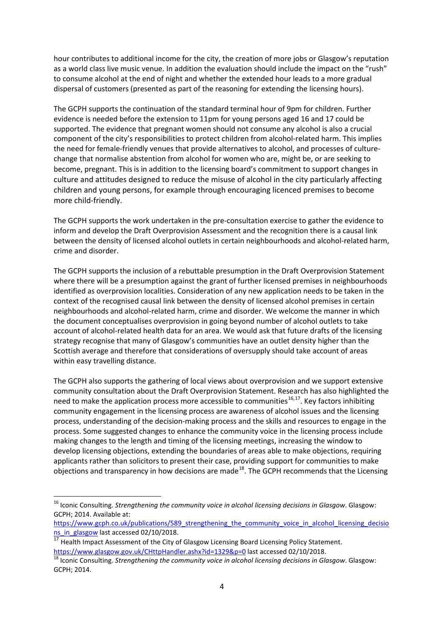hour contributes to additional income for the city, the creation of more jobs or Glasgow's reputation as a world class live music venue. In addition the evaluation should include the impact on the "rush" to consume alcohol at the end of night and whether the extended hour leads to a more gradual dispersal of customers (presented as part of the reasoning for extending the licensing hours).

The GCPH supports the continuation of the standard terminal hour of 9pm for children. Further evidence is needed before the extension to 11pm for young persons aged 16 and 17 could be supported. The evidence that pregnant women should not consume any alcohol is also a crucial component of the city's responsibilities to protect children from alcohol-related harm. This implies the need for female-friendly venues that provide alternatives to alcohol, and processes of culturechange that normalise abstention from alcohol for women who are, might be, or are seeking to become, pregnant. This is in addition to the licensing board's commitment to support changes in culture and attitudes designed to reduce the misuse of alcohol in the city particularly affecting children and young persons, for example through encouraging licenced premises to become more child-friendly.

The GCPH supports the work undertaken in the pre-consultation exercise to gather the evidence to inform and develop the Draft Overprovision Assessment and the recognition there is a causal link between the density of licensed alcohol outlets in certain neighbourhoods and alcohol-related harm, crime and disorder.

The GCPH supports the inclusion of a rebuttable presumption in the Draft Overprovision Statement where there will be a presumption against the grant of further licensed premises in neighbourhoods identified as overprovision localities. Consideration of any new application needs to be taken in the context of the recognised causal link between the density of licensed alcohol premises in certain neighbourhoods and alcohol-related harm, crime and disorder. We welcome the manner in which the document conceptualises overprovision in going beyond number of alcohol outlets to take account of alcohol-related health data for an area. We would ask that future drafts of the licensing strategy recognise that many of Glasgow's communities have an outlet density higher than the Scottish average and therefore that considerations of oversupply should take account of areas within easy travelling distance.

The GCPH also supports the gathering of local views about overprovision and we support extensive community consultation about the Draft Overprovision Statement. Research has also highlighted the need to make the application process more accessible to communities<sup>[16](#page-3-0),17</sup>. Key factors inhibiting community engagement in the licensing process are awareness of alcohol issues and the licensing process, understanding of the decision-making process and the skills and resources to engage in the process. Some suggested changes to enhance the community voice in the licensing process include making changes to the length and timing of the licensing meetings, increasing the window to develop licensing objections, extending the boundaries of areas able to make objections, requiring applicants rather than solicitors to present their case, providing support for communities to make objections and transparency in how decisions are made<sup>18</sup>. The GCPH recommends that the Licensing

<span id="page-3-0"></span> <sup>16</sup> Iconic Consulting. *Strengthening the community voice in alcohol licensing decisions in Glasgow*. Glasgow: GCPH; 2014. Available at:

[https://www.gcph.co.uk/publications/589\\_strengthening\\_the\\_community\\_voice\\_in\\_alcohol\\_licensing\\_decisio](https://www.gcph.co.uk/publications/589_strengthening_the_community_voice_in_alcohol_licensing_decisions_in_glasgow) [ns\\_in\\_glasgow](https://www.gcph.co.uk/publications/589_strengthening_the_community_voice_in_alcohol_licensing_decisions_in_glasgow) last accessed 02/10/2018.

<span id="page-3-1"></span> $17$  Health Impact Assessment of the City of Glasgow Licensing Board Licensing Policy Statement.

<span id="page-3-2"></span><https://www.glasgow.gov.uk/CHttpHandler.ashx?id=1329&p=0> last accessed 02/10/2018.<br><sup>18</sup> Iconic Consulting. *Strengthening the community voice in alcohol licensing decisions in Glasgow*. Glasgow: GCPH; 2014.